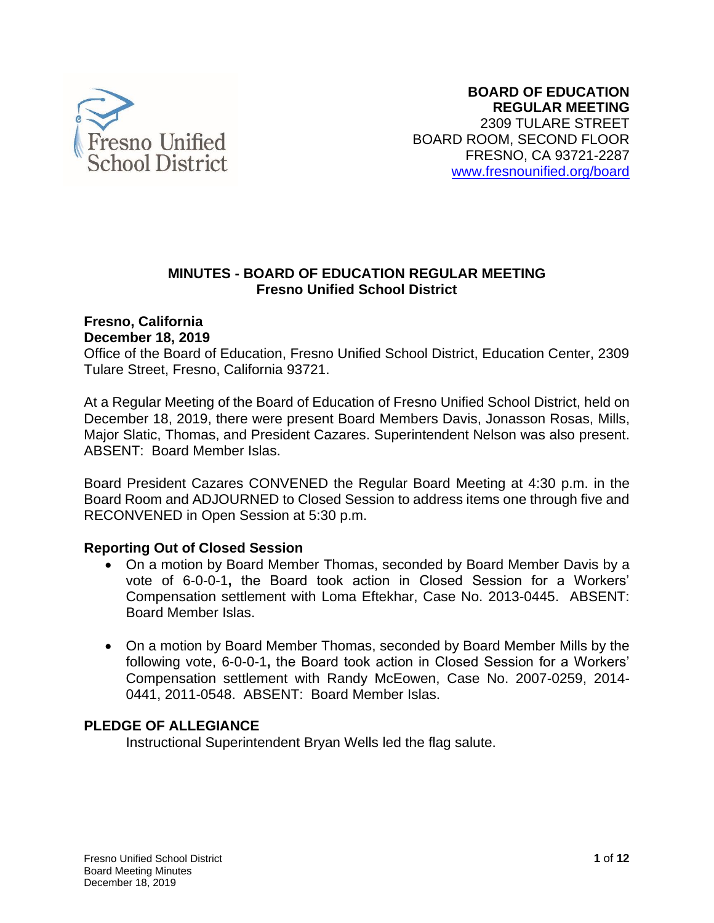

### **MINUTES - BOARD OF EDUCATION REGULAR MEETING Fresno Unified School District**

#### **Fresno, California December 18, 2019**

Office of the Board of Education, Fresno Unified School District, Education Center, 2309 Tulare Street, Fresno, California 93721.

At a Regular Meeting of the Board of Education of Fresno Unified School District, held on December 18, 2019, there were present Board Members Davis, Jonasson Rosas, Mills, Major Slatic, Thomas, and President Cazares. Superintendent Nelson was also present. ABSENT: Board Member Islas.

 Board Room and ADJOURNED to Closed Session to address items one through five and Board President Cazares CONVENED the Regular Board Meeting at 4:30 p.m. in the RECONVENED in Open Session at 5:30 p.m.

## **Reporting Out of Closed Session**

- • On a motion by Board Member Thomas, seconded by Board Member Davis by a vote of 6-0-0-1**,** the Board took action in Closed Session for a Workers' Compensation settlement with Loma Eftekhar, Case No. 2013-0445. ABSENT: Board Member Islas.
- following vote, 6-0-0-1**,** the Board took action in Closed Session for a Workers' Compensation settlement with Randy McEowen, Case No. 2007-0259, 2014- 0441, 2011-0548. ABSENT: Board Member Islas. • On a motion by Board Member Thomas, seconded by Board Member Mills by the

## **PLEDGE OF ALLEGIANCE**

Instructional Superintendent Bryan Wells led the flag salute.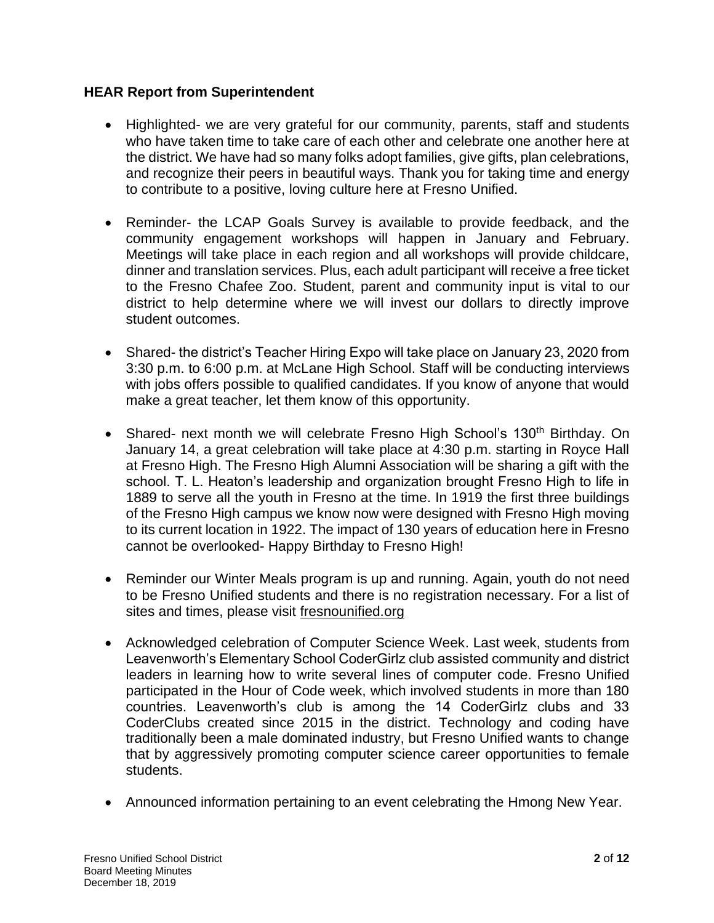### **HEAR Report from Superintendent**

- • Highlighted- we are very grateful for our community, parents, staff and students who have taken time to take care of each other and celebrate one another here at the district. We have had so many folks adopt families, give gifts, plan celebrations, and recognize their peers in beautiful ways. Thank you for taking time and energy to contribute to a positive, loving culture here at Fresno Unified.
- • Reminder- the LCAP Goals Survey is available to provide feedback, and the community engagement workshops will happen in January and February. Meetings will take place in each region and all workshops will provide childcare, dinner and translation services. Plus, each adult participant will receive a free ticket to the Fresno Chafee Zoo. Student, parent and community input is vital to our district to help determine where we will invest our dollars to directly improve student outcomes.
- • Shared- the district's Teacher Hiring Expo will take place on January 23, 2020 from 3:30 p.m. to 6:00 p.m. at McLane High School. Staff will be conducting interviews with jobs offers possible to qualified candidates. If you know of anyone that would make a great teacher, let them know of this opportunity.
- Shared- next month we will celebrate Fresno High School's 130<sup>th</sup> Birthday. On January 14, a great celebration will take place at 4:30 p.m. starting in Royce Hall at Fresno High. The Fresno High Alumni Association will be sharing a gift with the school. T. L. Heaton's leadership and organization brought Fresno High to life in 1889 to serve all the youth in Fresno at the time. In 1919 the first three buildings of the Fresno High campus we know now were designed with Fresno High moving to its current location in 1922. The impact of 130 years of education here in Fresno cannot be overlooked- Happy Birthday to Fresno High!
- • Reminder our Winter Meals program is up and running. Again, youth do not need to be Fresno Unified students and there is no registration necessary. For a list of sites and times, please visit [fresnounified.org](https://nam02.safelinks.protection.outlook.com/?url=https%3A%2F%2Fwww.fresnounified.org&data=02%7C01%7CGina.Moya%40fresnounified.org%7C00bf9b374edf4832adfc08d7843f52d3%7C74c9008303c6453a801c9251cdd17eb8%7C0%7C0%7C637123280250692234&sdata=607yHhmVxyp34ybu9hsR3IG9oBaD4Pgng%2F1%2Bd5Y%2FM2I%3D&reserved=0)
- Leavenworth's Elementary School CoderGirlz club assisted community and district leaders in learning how to write several lines of computer code. Fresno Unified participated in the Hour of Code week, which involved students in more than 180 countries. Leavenworth's club is among the 14 CoderGirlz clubs and 33 CoderClubs created since 2015 in the district. Technology and coding have traditionally been a male dominated industry, but Fresno Unified wants to change that by aggressively promoting computer science career opportunities to female • Acknowledged celebration of Computer Science Week. Last week, students from students.
- Announced information pertaining to an event celebrating the Hmong New Year.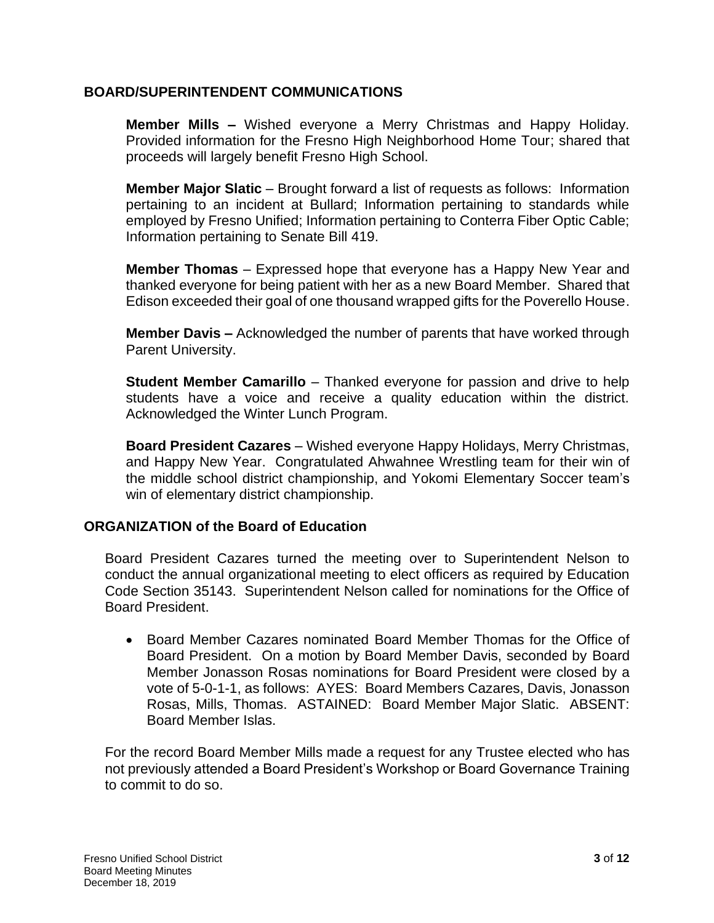### **BOARD/SUPERINTENDENT COMMUNICATIONS**

 **Member Mills –** Wished everyone a Merry Christmas and Happy Holiday. Provided information for the Fresno High Neighborhood Home Tour; shared that proceeds will largely benefit Fresno High School.

 pertaining to an incident at Bullard; Information pertaining to standards while employed by Fresno Unified; Information pertaining to Conterra Fiber Optic Cable; **Member Major Slatic** – Brought forward a list of requests as follows: Information Information pertaining to Senate Bill 419.

 **Member Thomas** – Expressed hope that everyone has a Happy New Year and thanked everyone for being patient with her as a new Board Member. Shared that Edison exceeded their goal of one thousand wrapped gifts for the Poverello House.

**Member Davis –** Acknowledged the number of parents that have worked through Parent University.

 **Student Member Camarillo** – Thanked everyone for passion and drive to help students have a voice and receive a quality education within the district. Acknowledged the Winter Lunch Program.

 **Board President Cazares** – Wished everyone Happy Holidays, Merry Christmas, and Happy New Year. Congratulated Ahwahnee Wrestling team for their win of the middle school district championship, and Yokomi Elementary Soccer team's win of elementary district championship.

## **ORGANIZATION of the Board of Education**

 Board President Cazares turned the meeting over to Superintendent Nelson to conduct the annual organizational meeting to elect officers as required by Education Code Section 35143. Superintendent Nelson called for nominations for the Office of Board President.

 • Board Member Cazares nominated Board Member Thomas for the Office of Board President. On a motion by Board Member Davis, seconded by Board vote of 5-0-1-1, as follows: AYES: Board Members Cazares, Davis, Jonasson Rosas, Mills, Thomas. ASTAINED: Board Member Major Slatic. ABSENT: Member Jonasson Rosas nominations for Board President were closed by a Board Member Islas.

 For the record Board Member Mills made a request for any Trustee elected who has not previously attended a Board President's Workshop or Board Governance Training to commit to do so.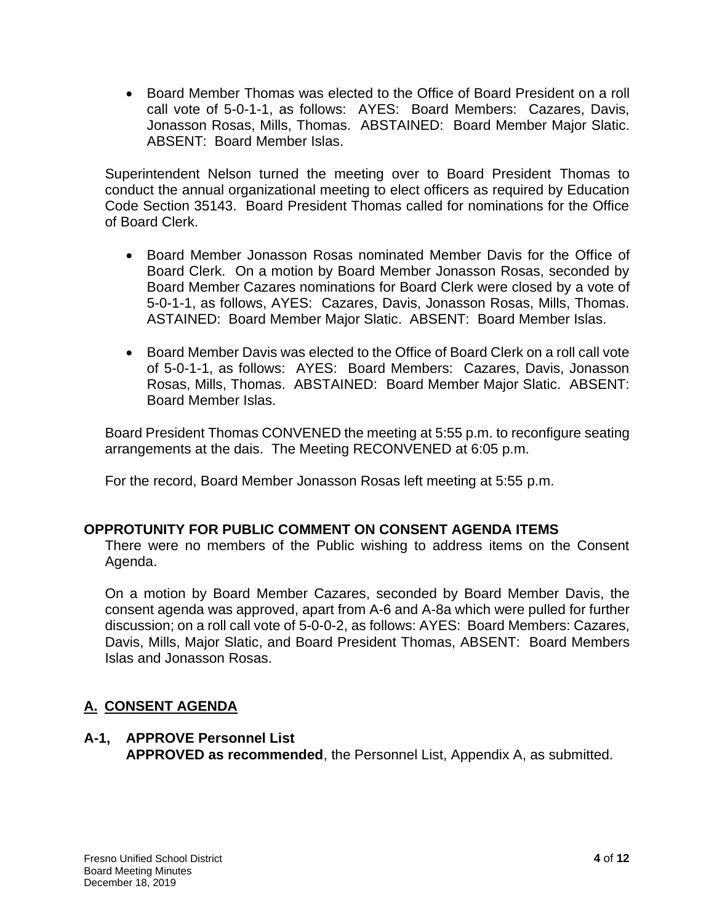• Board Member Thomas was elected to the Office of Board President on a roll call vote of 5-0-1-1, as follows: AYES: Board Members: Cazares, Davis, Jonasson Rosas, Mills, Thomas. ABSTAINED: Board Member Major Slatic. ABSENT: Board Member Islas.

 Superintendent Nelson turned the meeting over to Board President Thomas to conduct the annual organizational meeting to elect officers as required by Education Code Section 35143. Board President Thomas called for nominations for the Office of Board Clerk.

- Board Clerk. On a motion by Board Member Jonasson Rosas, seconded by Board Member Cazares nominations for Board Clerk were closed by a vote of 5-0-1-1, as follows, AYES: Cazares, Davis, Jonasson Rosas, Mills, Thomas. • Board Member Jonasson Rosas nominated Member Davis for the Office of ASTAINED: Board Member Major Slatic. ABSENT: Board Member Islas.
- • Board Member Davis was elected to the Office of Board Clerk on a roll call vote of 5-0-1-1, as follows: AYES: Board Members: Cazares, Davis, Jonasson Rosas, Mills, Thomas. ABSTAINED: Board Member Major Slatic. ABSENT: Board Member Islas.

 Board President Thomas CONVENED the meeting at 5:55 p.m. to reconfigure seating arrangements at the dais. The Meeting RECONVENED at 6:05 p.m.

For the record, Board Member Jonasson Rosas left meeting at 5:55 p.m.

## **OPPROTUNITY FOR PUBLIC COMMENT ON CONSENT AGENDA ITEMS**

 There were no members of the Public wishing to address items on the Consent Agenda.

 On a motion by Board Member Cazares, seconded by Board Member Davis, the consent agenda was approved, apart from A-6 and A-8a which were pulled for further discussion; on a roll call vote of 5-0-0-2, as follows: AYES: Board Members: Cazares, Davis, Mills, Major Slatic, and Board President Thomas, ABSENT: Board Members Islas and Jonasson Rosas.

# **A. CONSENT AGENDA**

#### **A-1, APPROVE Personnel List**

**APPROVED as recommended**, the Personnel List, Appendix A, as submitted.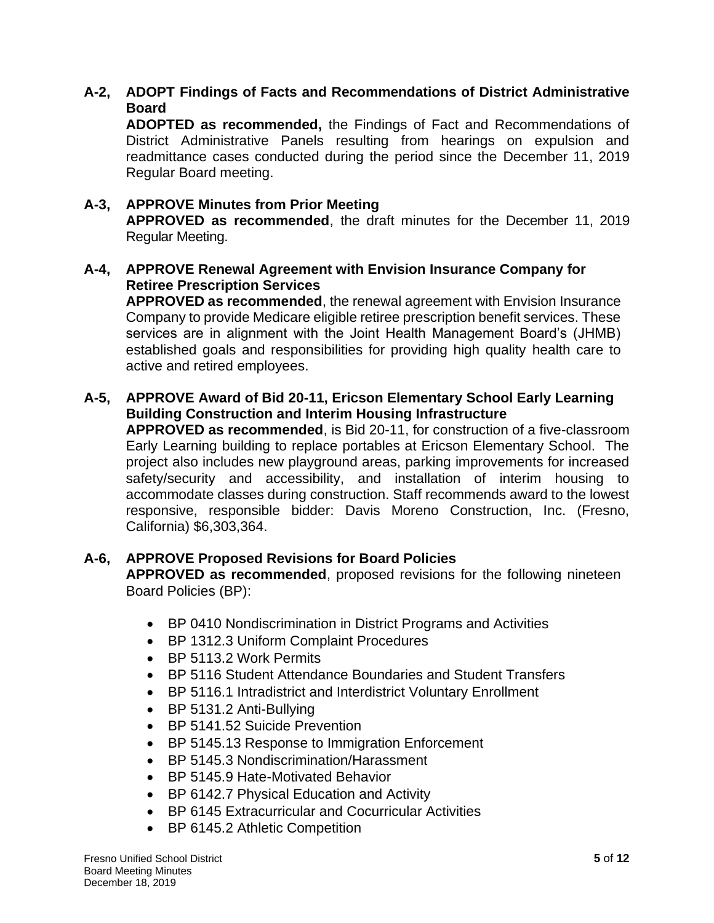### **A-2, ADOPT Findings of Facts and Recommendations of District Administrative Board**

 **ADOPTED as recommended,** the Findings of Fact and Recommendations of District Administrative Panels resulting from hearings on expulsion and readmittance cases conducted during the period since the December 11, 2019 Regular Board meeting.

#### **APPROVED as recommended**, the draft minutes for the December 11, 2019 **A-3, APPROVE Minutes from Prior Meeting**  Regular Meeting.

### **A-4, APPROVE Renewal Agreement with Envision Insurance Company for Retiree Prescription Services**

 **APPROVED as recommended**, the renewal agreement with Envision Insurance Company to provide Medicare eligible retiree prescription benefit services. These services are in alignment with the Joint Health Management Board's (JHMB) established goals and responsibilities for providing high quality health care to active and retired employees.

### **A-5, APPROVE Award of Bid 20-11, Ericson Elementary School Early Learning Building Construction and Interim Housing Infrastructure**

 Early Learning building to replace portables at Ericson Elementary School. The safety/security and accessibility, and installation of interim housing to accommodate classes during construction. Staff recommends award to the lowest **APPROVED as recommended**, is Bid 20-11, for construction of a five-classroom project also includes new playground areas, parking improvements for increased responsive, responsible bidder: Davis Moreno Construction, Inc. (Fresno, California) \$6,303,364.

## **A-6, APPROVE Proposed Revisions for Board Policies**

 **APPROVED as recommended**, proposed revisions for the following nineteen Board Policies (BP):

- BP 0410 Nondiscrimination in District Programs and Activities
- BP 1312.3 Uniform Complaint Procedures
- BP 5113.2 Work Permits
- BP 5116 Student Attendance Boundaries and Student Transfers
- BP 5116.1 Intradistrict and Interdistrict Voluntary Enrollment
- BP 5131.2 Anti-Bullying
- BP 5141.52 Suicide Prevention
- BP 5145.13 Response to Immigration Enforcement
- BP 5145.3 Nondiscrimination/Harassment
- BP 5145.9 Hate-Motivated Behavior
- BP 6142.7 Physical Education and Activity
- BP 6145 Extracurricular and Cocurricular Activities
- BP 6145.2 Athletic Competition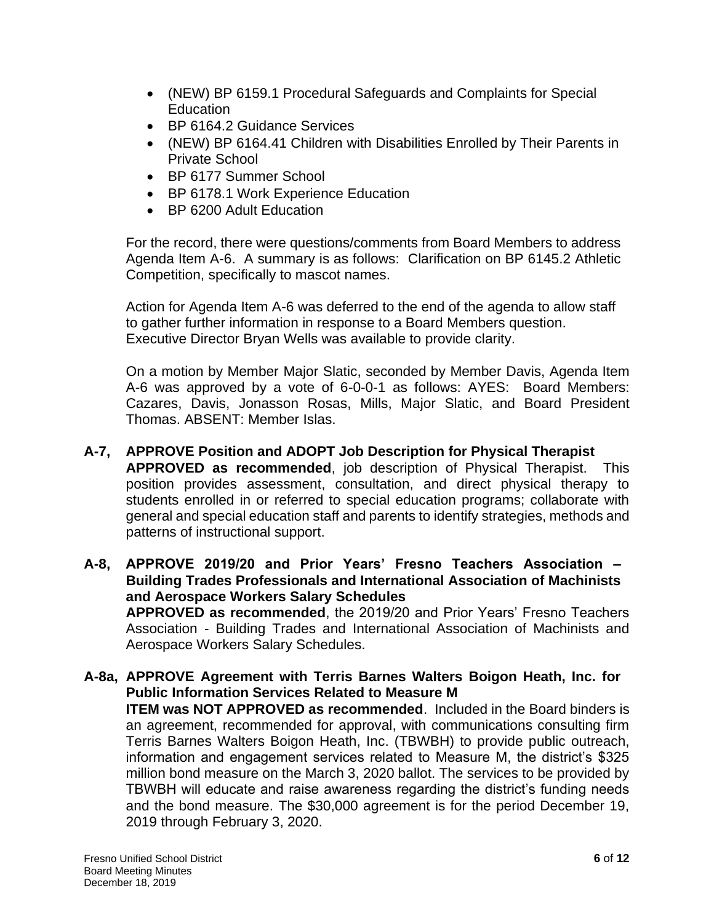- (NEW) BP 6159.1 Procedural Safeguards and Complaints for Special **Education**
- BP 6164.2 Guidance Services
- (NEW) BP 6164.41 Children with Disabilities Enrolled by Their Parents in Private School
- BP 6177 Summer School
- BP 6178.1 Work Experience Education
- BP 6200 Adult Education

 For the record, there were questions/comments from Board Members to address Agenda Item A-6. A summary is as follows: Clarification on BP 6145.2 Athletic Competition, specifically to mascot names.

 to gather further information in response to a Board Members question. Action for Agenda Item A-6 was deferred to the end of the agenda to allow staff Executive Director Bryan Wells was available to provide clarity.

 On a motion by Member Major Slatic, seconded by Member Davis, Agenda Item A-6 was approved by a vote of 6-0-0-1 as follows: AYES: Board Members: Cazares, Davis, Jonasson Rosas, Mills, Major Slatic, and Board President Thomas. ABSENT: Member Islas.

- **APPROVED as recommended**, job description of Physical Therapist. This students enrolled in or referred to special education programs; collaborate with general and special education staff and parents to identify strategies, methods and **A-7, APPROVE Position and ADOPT Job Description for Physical Therapist**  position provides assessment, consultation, and direct physical therapy to patterns of instructional support.
- **A-8, APPROVE 2019/20 and Prior Years' Fresno Teachers Association – Building Trades Professionals and International Association of Machinists APPROVED as recommended**, the 2019/20 and Prior Years' Fresno Teachers Association - Building Trades and International Association of Machinists and **and Aerospace Workers Salary Schedules**  Aerospace Workers Salary Schedules.
- **A-8a, APPROVE Agreement with Terris Barnes Walters Boigon Heath, Inc. for ITEM was NOT APPROVED as recommended**. Included in the Board binders is an agreement, recommended for approval, with communications consulting firm Terris Barnes Walters Boigon Heath, Inc. (TBWBH) to provide public outreach, information and engagement services related to Measure M, the district's \$325 million bond measure on the March 3, 2020 ballot. The services to be provided by TBWBH will educate and raise awareness regarding the district's funding needs and the bond measure. The \$30,000 agreement is for the period December 19, **Public Information Services Related to Measure M**  2019 through February 3, 2020.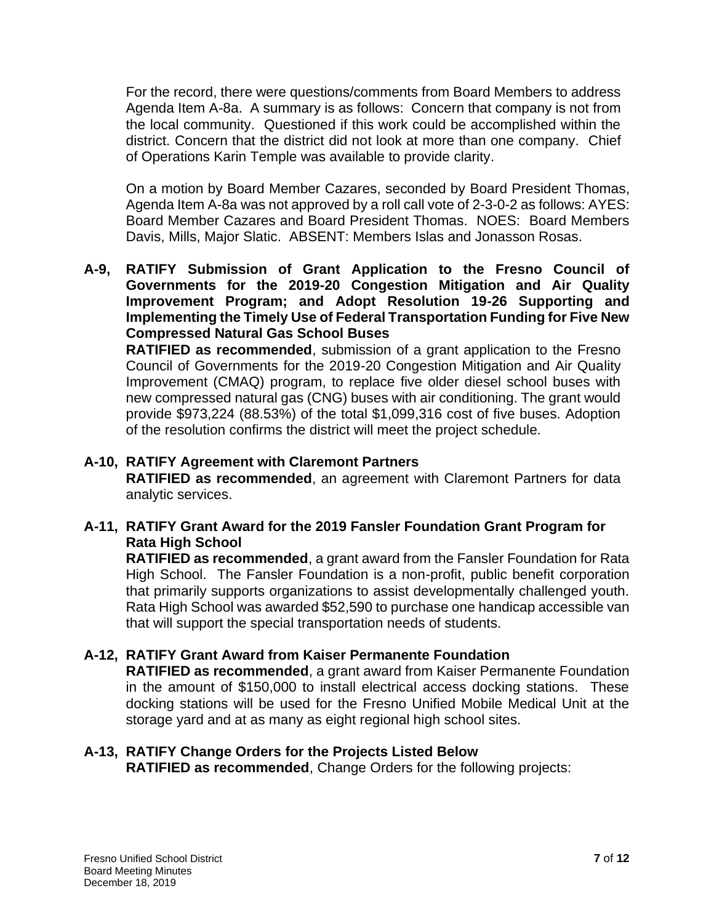For the record, there were questions/comments from Board Members to address Agenda Item A-8a. A summary is as follows: Concern that company is not from the local community. Questioned if this work could be accomplished within the district. Concern that the district did not look at more than one company. Chief of Operations Karin Temple was available to provide clarity.

 On a motion by Board Member Cazares, seconded by Board President Thomas, Agenda Item A-8a was not approved by a roll call vote of 2-3-0-2 as follows: AYES: Board Member Cazares and Board President Thomas. NOES: Board Members Davis, Mills, Major Slatic. ABSENT: Members Islas and Jonasson Rosas.

 **A-9, RATIFY Submission of Grant Application to the Fresno Council of Governments for the 2019-20 Congestion Mitigation and Air Quality Implementing the Timely Use of Federal Transportation Funding for Five New Improvement Program; and Adopt Resolution 19-26 Supporting and Compressed Natural Gas School Buses** 

 **RATIFIED as recommended**, submission of a grant application to the Fresno Council of Governments for the 2019-20 Congestion Mitigation and Air Quality Improvement (CMAQ) program, to replace five older diesel school buses with new compressed natural gas (CNG) buses with air conditioning. The grant would provide \$973,224 (88.53%) of the total \$1,099,316 cost of five buses. Adoption of the resolution confirms the district will meet the project schedule.

### **A-10, RATIFY Agreement with Claremont Partners**

**RATIFIED as recommended**, an agreement with Claremont Partners for data analytic services.

## **A-11, RATIFY Grant Award for the 2019 Fansler Foundation Grant Program for Rata High School**

 **RATIFIED as recommended**, a grant award from the Fansler Foundation for Rata High School. The Fansler Foundation is a non-profit, public benefit corporation that primarily supports organizations to assist developmentally challenged youth. Rata High School was awarded \$52,590 to purchase one handicap accessible van that will support the special transportation needs of students.

#### **A-12, RATIFY Grant Award from Kaiser Permanente Foundation**

 **RATIFIED as recommended**, a grant award from Kaiser Permanente Foundation in the amount of \$150,000 to install electrical access docking stations. These docking stations will be used for the Fresno Unified Mobile Medical Unit at the storage yard and at as many as eight regional high school sites.

## **A-13, RATIFY Change Orders for the Projects Listed Below**

**RATIFIED as recommended**, Change Orders for the following projects: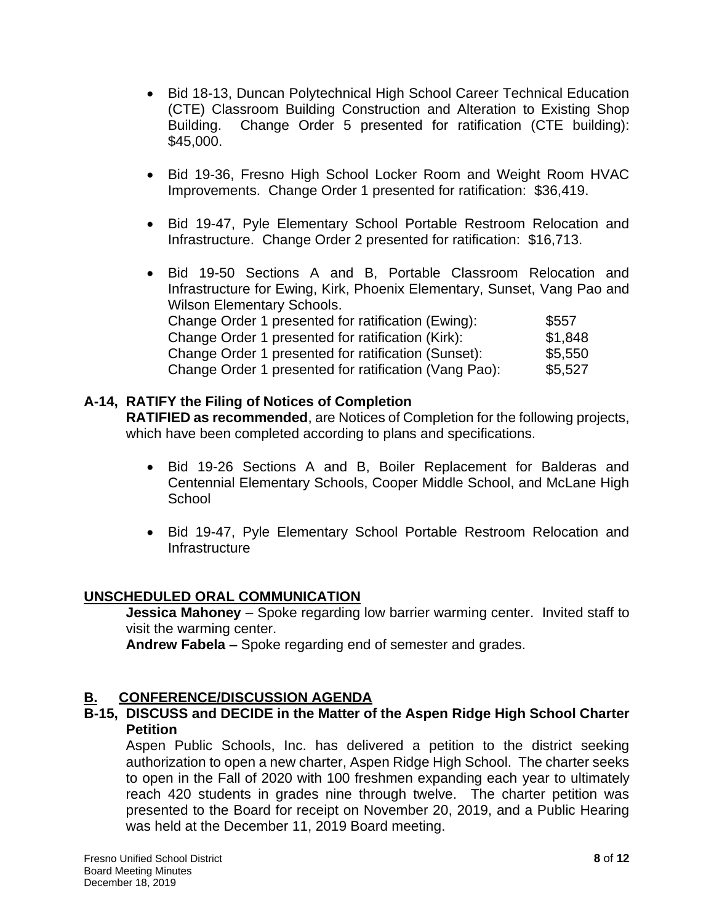- • Bid 18-13, Duncan Polytechnical High School Career Technical Education (CTE) Classroom Building Construction and Alteration to Existing Shop Building. Change Order 5 presented for ratification (CTE building): \$45,000.
- • Bid 19-36, Fresno High School Locker Room and Weight Room HVAC Improvements. Change Order 1 presented for ratification: \$36,419.
- • Bid 19-47, Pyle Elementary School Portable Restroom Relocation and Infrastructure. Change Order 2 presented for ratification: \$16,713.
- • Bid 19-50 Sections A and B, Portable Classroom Relocation and Infrastructure for Ewing, Kirk, Phoenix Elementary, Sunset, Vang Pao and Wilson Elementary Schools. Change Order 1 presented for ratification (Ewing): \$557 Change Order 1 presented for ratification (Kirk): \$1,848 Change Order 1 presented for ratification (Sunset): \$5,550 Change Order 1 presented for ratification (Vang Pao): \$5,527

### **A-14, RATIFY the Filing of Notices of Completion**

 **RATIFIED as recommended**, are Notices of Completion for the following projects, which have been completed according to plans and specifications.

- • Bid 19-26 Sections A and B, Boiler Replacement for Balderas and Centennial Elementary Schools, Cooper Middle School, and McLane High **School**
- • Bid 19-47, Pyle Elementary School Portable Restroom Relocation and Infrastructure

#### **UNSCHEDULED ORAL COMMUNICATION**

**Jessica Mahoney** – Spoke regarding low barrier warming center. Invited staff to visit the warming center.

**Andrew Fabela –** Spoke regarding end of semester and grades.

## **B. CONFERENCE/DISCUSSION AGENDA**

#### **B-15, DISCUSS and DECIDE in the Matter of the Aspen Ridge High School Charter Petition**

 Aspen Public Schools, Inc. has delivered a petition to the district seeking authorization to open a new charter, Aspen Ridge High School. The charter seeks to open in the Fall of 2020 with 100 freshmen expanding each year to ultimately reach 420 students in grades nine through twelve. The charter petition was presented to the Board for receipt on November 20, 2019, and a Public Hearing was held at the December 11, 2019 Board meeting.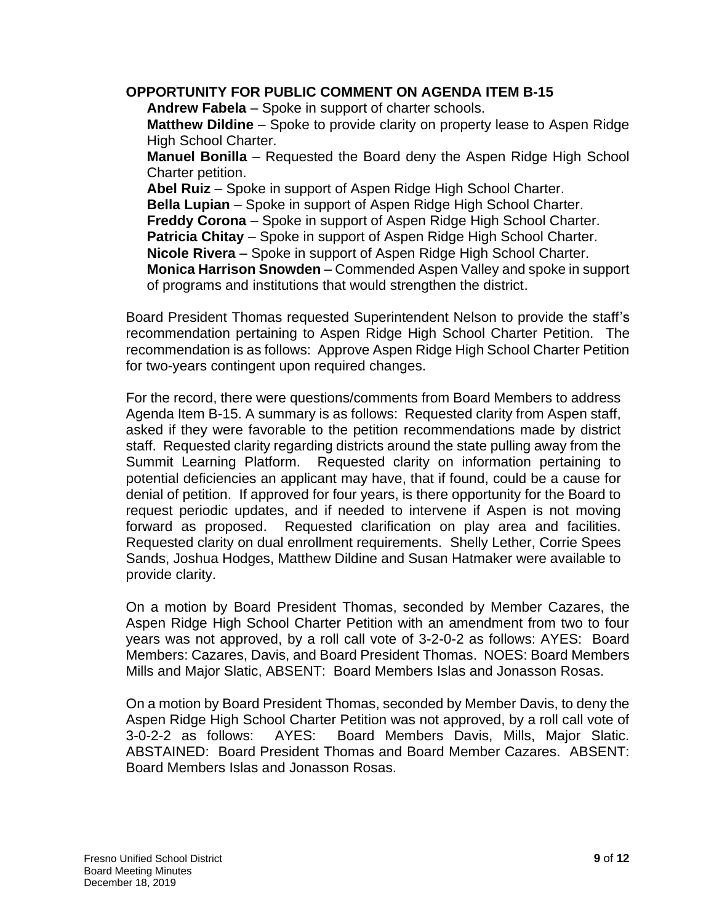### **OPPORTUNITY FOR PUBLIC COMMENT ON AGENDA ITEM B-15**

**Andrew Fabela** – Spoke in support of charter schools.

 **Matthew Dildine** – Spoke to provide clarity on property lease to Aspen Ridge High School Charter.

 **Manuel Bonilla** – Requested the Board deny the Aspen Ridge High School Charter petition.

**Abel Ruiz** – Spoke in support of Aspen Ridge High School Charter.

**Bella Lupian** – Spoke in support of Aspen Ridge High School Charter.

**Freddy Corona** – Spoke in support of Aspen Ridge High School Charter.

**Patricia Chitay** – Spoke in support of Aspen Ridge High School Charter.

**Nicole Rivera** – Spoke in support of Aspen Ridge High School Charter.

 **Monica Harrison Snowden** – Commended Aspen Valley and spoke in support of programs and institutions that would strengthen the district.

 Board President Thomas requested Superintendent Nelson to provide the staff's recommendation pertaining to Aspen Ridge High School Charter Petition. The recommendation is as follows: Approve Aspen Ridge High School Charter Petition for two-years contingent upon required changes.

 For the record, there were questions/comments from Board Members to address Agenda Item B-15. A summary is as follows: Requested clarity from Aspen staff, asked if they were favorable to the petition recommendations made by district staff. Requested clarity regarding districts around the state pulling away from the Summit Learning Platform. Requested clarity on information pertaining to potential deficiencies an applicant may have, that if found, could be a cause for denial of petition. If approved for four years, is there opportunity for the Board to request periodic updates, and if needed to intervene if Aspen is not moving forward as proposed. Requested clarification on play area and facilities. Requested clarity on dual enrollment requirements. Shelly Lether, Corrie Spees Sands, Joshua Hodges, Matthew Dildine and Susan Hatmaker were available to provide clarity.

 On a motion by Board President Thomas, seconded by Member Cazares, the Aspen Ridge High School Charter Petition with an amendment from two to four years was not approved, by a roll call vote of 3-2-0-2 as follows: AYES: Board Mills and Major Slatic, ABSENT: Board Members Islas and Jonasson Rosas. Members: Cazares, Davis, and Board President Thomas. NOES: Board Members

 On a motion by Board President Thomas, seconded by Member Davis, to deny the Aspen Ridge High School Charter Petition was not approved, by a roll call vote of  $3-0-2-2$  as follows: ABSTAINED: Board President Thomas and Board Member Cazares. ABSENT: AYES: Board Members Davis, Mills, Major Slatic. Board Members Islas and Jonasson Rosas.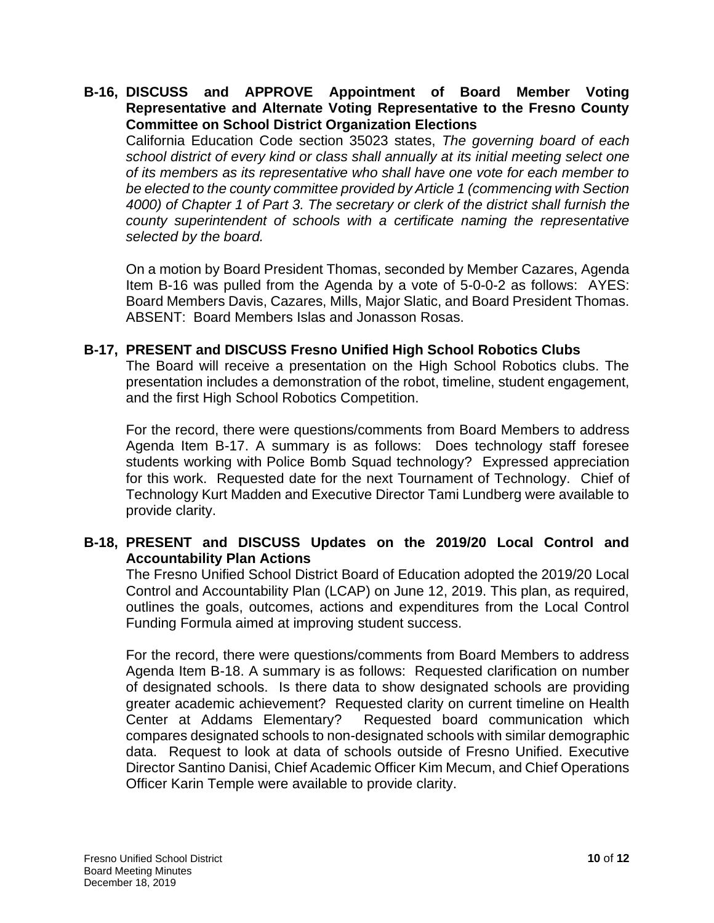#### **B-16, DISCUSS and APPROVE Appointment of Board Member Voting Representative and Alternate Voting Representative to the Fresno County Committee on School District Organization Elections**

 California Education Code section 35023 states, *The governing board of each school district of every kind or class shall annually at its initial meeting select one of its members as its representative who shall have one vote for each member to*  be elected to the county committee provided by Article 1 (commencing with Section  *4000) of Chapter 1 of Part 3. The secretary or clerk of the district shall furnish the*  county superintendent of schools with a certificate naming the representative *selected by the board.* 

 On a motion by Board President Thomas, seconded by Member Cazares, Agenda Item B-16 was pulled from the Agenda by a vote of 5-0-0-2 as follows: AYES: Board Members Davis, Cazares, Mills, Major Slatic, and Board President Thomas. ABSENT: Board Members Islas and Jonasson Rosas.

### **B-17, PRESENT and DISCUSS Fresno Unified High School Robotics Clubs**

 The Board will receive a presentation on the High School Robotics clubs. The presentation includes a demonstration of the robot, timeline, student engagement, and the first High School Robotics Competition.

 For the record, there were questions/comments from Board Members to address Agenda Item B-17. A summary is as follows: Does technology staff foresee students working with Police Bomb Squad technology? Expressed appreciation for this work. Requested date for the next Tournament of Technology. Chief of Technology Kurt Madden and Executive Director Tami Lundberg were available to provide clarity.

## **B-18, PRESENT and DISCUSS Updates on the 2019/20 Local Control and Accountability Plan Actions**

 The Fresno Unified School District Board of Education adopted the 2019/20 Local Control and Accountability Plan (LCAP) on June 12, 2019. This plan, as required, outlines the goals, outcomes, actions and expenditures from the Local Control Funding Formula aimed at improving student success.

 For the record, there were questions/comments from Board Members to address Agenda Item B-18. A summary is as follows: Requested clarification on number of designated schools. Is there data to show designated schools are providing greater academic achievement? Requested clarity on current timeline on Health Center at Addams Elementary? compares designated schools to non-designated schools with similar demographic data. Request to look at data of schools outside of Fresno Unified. Executive Requested board communication which Director Santino Danisi, Chief Academic Officer Kim Mecum, and Chief Operations Officer Karin Temple were available to provide clarity.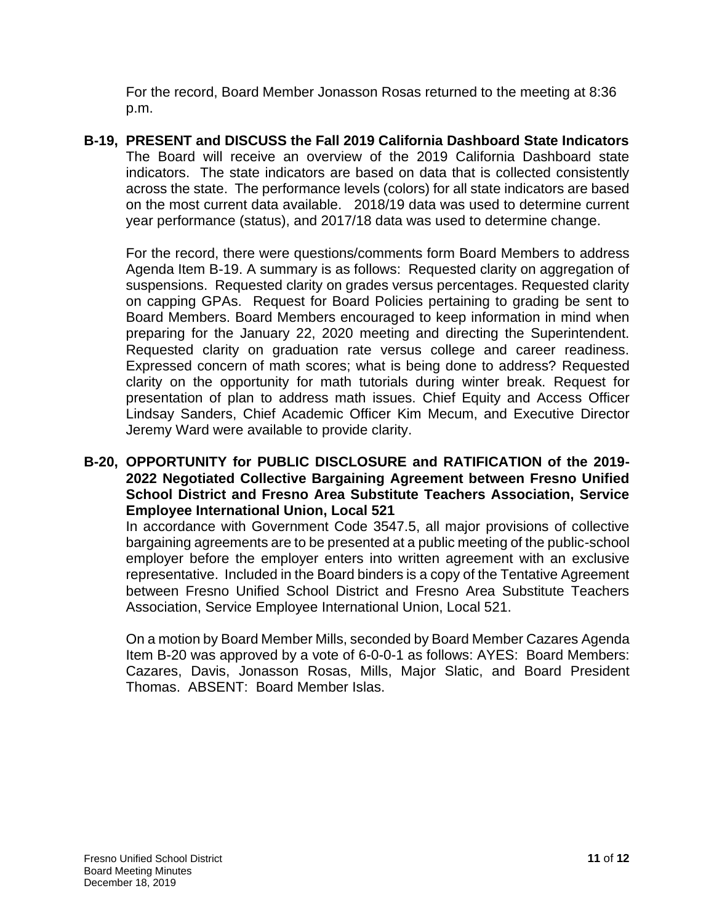For the record, Board Member Jonasson Rosas returned to the meeting at 8:36 p.m.

 The Board will receive an overview of the 2019 California Dashboard state indicators. The state indicators are based on data that is collected consistently across the state. The performance levels (colors) for all state indicators are based on the most current data available. 2018/19 data was used to determine current year performance (status), and 2017/18 data was used to determine change. **B-19, PRESENT and DISCUSS the Fall 2019 California Dashboard State Indicators** 

year performance (status), and 2017/18 data was used to determine change.<br>For the record, there were questions/comments form Board Members to address Agenda Item B-19. A summary is as follows: Requested clarity on aggregation of suspensions. Requested clarity on grades versus percentages. Requested clarity on capping GPAs. Request for Board Policies pertaining to grading be sent to Board Members. Board Members encouraged to keep information in mind when preparing for the January 22, 2020 meeting and directing the Superintendent. Requested clarity on graduation rate versus college and career readiness. Expressed concern of math scores; what is being done to address? Requested clarity on the opportunity for math tutorials during winter break. Request for presentation of plan to address math issues. Chief Equity and Access Officer Lindsay Sanders, Chief Academic Officer Kim Mecum, and Executive Director Jeremy Ward were available to provide clarity.

 **B-20, OPPORTUNITY for PUBLIC DISCLOSURE and RATIFICATION of the 2019- School District and Fresno Area Substitute Teachers Association, Service 2022 Negotiated Collective Bargaining Agreement between Fresno Unified Employee International Union, Local 521** 

 In accordance with Government Code 3547.5, all major provisions of collective bargaining agreements are to be presented at a public meeting of the public-school employer before the employer enters into written agreement with an exclusive representative. Included in the Board binders is a copy of the Tentative Agreement between Fresno Unified School District and Fresno Area Substitute Teachers Association, Service Employee International Union, Local 521.

 On a motion by Board Member Mills, seconded by Board Member Cazares Agenda Item B-20 was approved by a vote of 6-0-0-1 as follows: AYES: Board Members: Cazares, Davis, Jonasson Rosas, Mills, Major Slatic, and Board President Thomas. ABSENT: Board Member Islas.